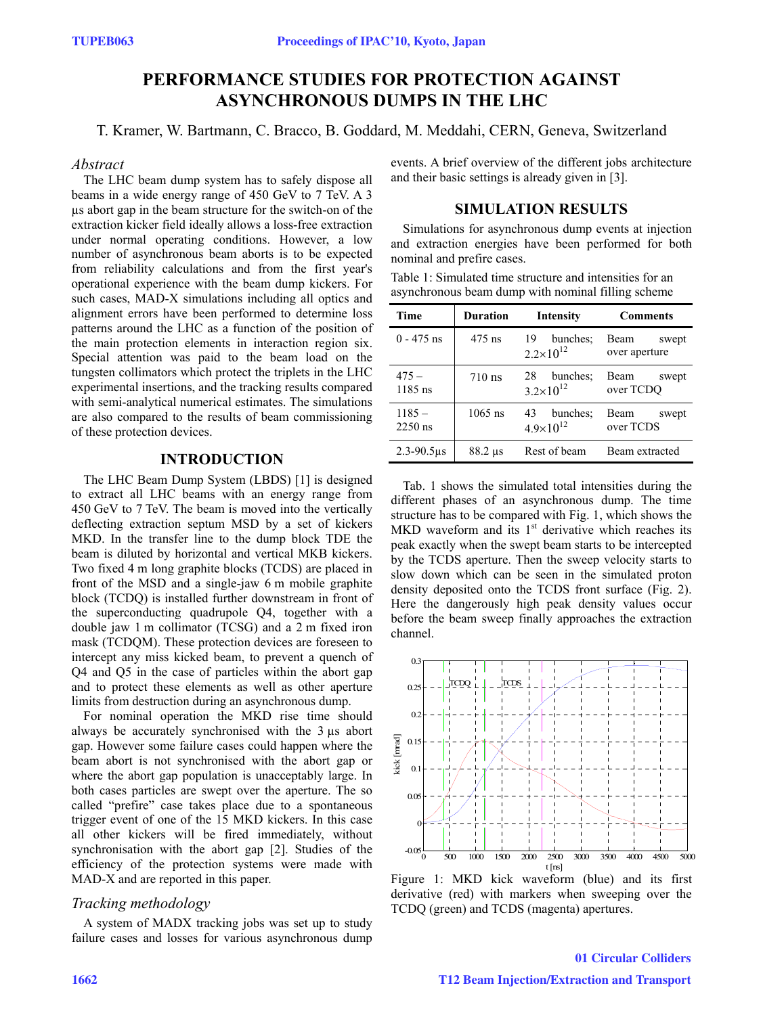# **PERFORMANCE STUDIES FOR PROTECTION AGAINST ASYNCHRONOUS DUMPS IN THE LHC**

T. Kramer, W. Bartmann, C. Bracco, B. Goddard, M. Meddahi, CERN, Geneva, Switzerland

#### *Abstract*

The LHC beam dump system has to safely dispose all beams in a wide energy range of 450 GeV to 7 TeV. A 3 µs abort gap in the beam structure for the switch-on of the extraction kicker field ideally allows a loss-free extraction under normal operating conditions. However, a low number of asynchronous beam aborts is to be expected from reliability calculations and from the first year's operational experience with the beam dump kickers. For such cases, MAD-X simulations including all optics and alignment errors have been performed to determine loss patterns around the LHC as a function of the position of the main protection elements in interaction region six. Special attention was paid to the beam load on the tungsten collimators which protect the triplets in the LHC experimental insertions, and the tracking results compared with semi-analytical numerical estimates. The simulations are also compared to the results of beam commissioning of these protection devices.

# **INTRODUCTION**

The LHC Beam Dump System (LBDS) [1] is designed to extract all LHC beams with an energy range from 450 GeV to 7 TeV. The beam is moved into the vertically deflecting extraction septum MSD by a set of kickers MKD. In the transfer line to the dump block TDE the beam is diluted by horizontal and vertical MKB kickers. Two fixed 4 m long graphite blocks (TCDS) are placed in front of the MSD and a single-jaw 6 m mobile graphite block (TCDQ) is installed further downstream in front of the superconducting quadrupole Q4, together with a double jaw 1 m collimator (TCSG) and a 2 m fixed iron mask (TCDQM). These protection devices are foreseen to intercept any miss kicked beam, to prevent a quench of Q4 and Q5 in the case of particles within the abort gap and to protect these elements as well as other aperture limits from destruction during an asynchronous dump.

For nominal operation the MKD rise time should always be accurately synchronised with the 3 µs abort gap. However some failure cases could happen where the beam abort is not synchronised with the abort gap or where the abort gap population is unacceptably large. In both cases particles are swept over the aperture. The so called "prefire" case takes place due to a spontaneous trigger event of one of the 15 MKD kickers. In this case all other kickers will be fired immediately, without synchronisation with the abort gap [2]. Studies of the efficiency of the protection systems were made with MAD-X and are reported in this paper.

### *Tracking methodology*

A system of MADX tracking jobs was set up to study failure cases and losses for various asynchronous dump events. A brief overview of the different jobs architecture and their basic settings is already given in [3].

### **SIMULATION RESULTS**

Simulations for asynchronous dump events at injection and extraction energies have been performed for both nominal and prefire cases.

Table 1: Simulated time structure and intensities for an asynchronous beam dump with nominal filling scheme

| Time                  | Duration                   | <b>Intensity</b>                       | <b>Comments</b>                |
|-----------------------|----------------------------|----------------------------------------|--------------------------------|
| $0 - 475$ ns          | 475 ns                     | bunches:<br>19<br>$2.2 \times 10^{12}$ | Beam<br>swept<br>over aperture |
| $475 -$<br>$1185$ ns  | $710$ ns                   | bunches:<br>28<br>$3.2\times10^{12}$   | Beam<br>swept<br>over TCDO     |
| $1185 -$<br>$2250$ ns | $1065$ ns                  | 43<br>bunches:<br>$4.9\times10^{12}$   | Beam<br>swept<br>over TCDS     |
| $2.3 - 90.5$ us       | $88.2 \text{ }\mu\text{s}$ | Rest of beam                           | Beam extracted                 |

Tab. 1 shows the simulated total intensities during the different phases of an asynchronous dump. The time structure has to be compared with Fig. 1, which shows the MKD waveform and its  $1<sup>st</sup>$  derivative which reaches its peak exactly when the swept beam starts to be intercepted by the TCDS aperture. Then the sweep velocity starts to slow down which can be seen in the simulated proton density deposited onto the TCDS front surface (Fig. 2). Here the dangerously high peak density values occur before the beam sweep finally approaches the extraction channel.



Figure 1: MKD kick waveform (blue) and its first derivative (red) with markers when sweeping over the TCDQ (green) and TCDS (magenta) apertures.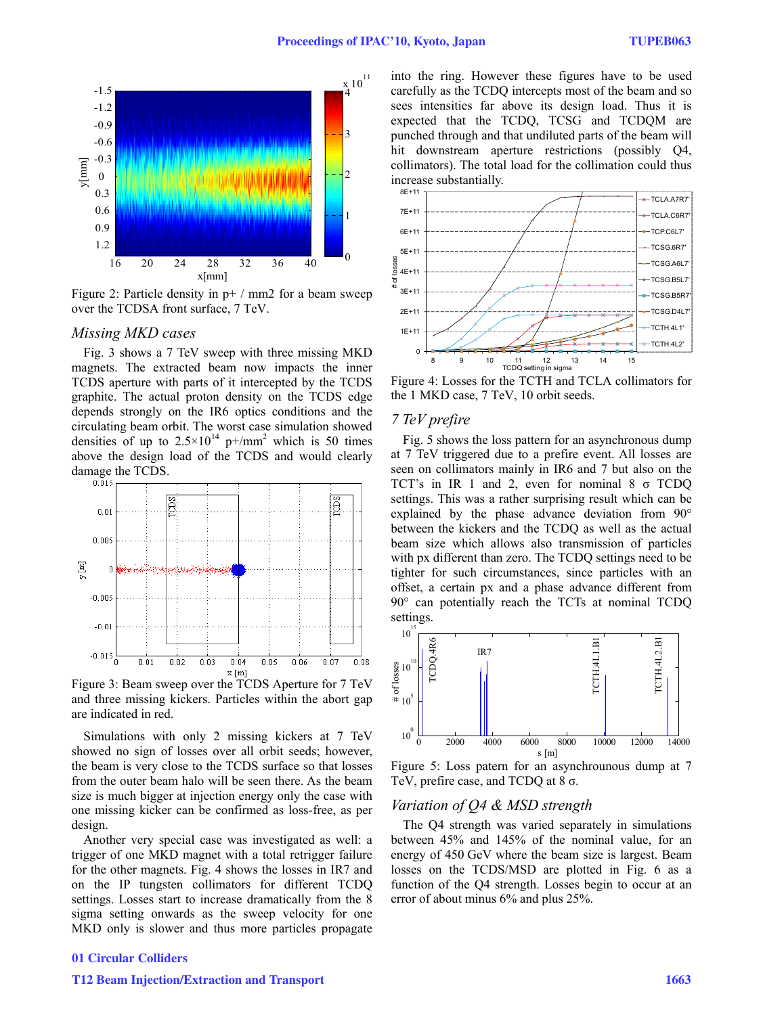

Figure 2: Particle density in  $p+$  / mm2 for a beam sweep over the TCDSA front surface, 7 TeV.

#### *Missing MKD cases*

Fig. 3 shows a 7 TeV sweep with three missing MKD magnets. The extracted beam now impacts the inner TCDS aperture with parts of it intercepted by the TCDS graphite. The actual proton density on the TCDS edge depends strongly on the IR6 optics conditions and the circulating beam orbit. The worst case simulation showed densities of up to  $2.5 \times 10^{14}$  p+/mm<sup>2</sup> which is 50 times above the design load of the TCDS and would clearly damage the TCDS.



Figure 3: Beam sweep over the TCDS Aperture for 7 TeV and three missing kickers. Particles within the abort gap are indicated in red.

Simulations with only 2 missing kickers at 7 TeV showed no sign of losses over all orbit seeds; however, the beam is very close to the TCDS surface so that losses from the outer beam halo will be seen there. As the beam size is much bigger at injection energy only the case with one missing kicker can be confirmed as loss-free, as per design.

Another very special case was investigated as well: a trigger of one MKD magnet with a total retrigger failure for the other magnets. Fig. 4 shows the losses in IR7 and on the IP tungsten collimators for different TCDQ settings. Losses start to increase dramatically from the 8 sigma setting onwards as the sweep velocity for one MKD only is slower and thus more particles propagate

### into the ring. However these figures have to be used carefully as the TCDQ intercepts most of the beam and so sees intensities far above its design load. Thus it is expected that the TCDQ, TCSG and TCDQM are punched through and that undiluted parts of the beam will hit downstream aperture restrictions (possibly Q4, collimators). The total load for the collimation could thus increase substantially.



Figure 4: Losses for the TCTH and TCLA collimators for the 1 MKD case, 7 TeV, 10 orbit seeds.

#### *7 TeV prefire*

Fig. 5 shows the loss pattern for an asynchronous dump at 7 TeV triggered due to a prefire event. All losses are seen on collimators mainly in IR6 and 7 but also on the TCT's in IR 1 and 2, even for nominal 8 σ TCDQ settings. This was a rather surprising result which can be explained by the phase advance deviation from 90° between the kickers and the TCDQ as well as the actual beam size which allows also transmission of particles with px different than zero. The TCDQ settings need to be tighter for such circumstances, since particles with an offset, a certain px and a phase advance different from 90° can potentially reach the TCTs at nominal TCDQ settings.



Figure 5: Loss patern for an asynchrounous dump at 7 TeV, prefire case, and TCDQ at  $8\sigma$ .

#### *Variation of Q4 & MSD strength*

The Q4 strength was varied separately in simulations between 45% and 145% of the nominal value, for an energy of 450 GeV where the beam size is largest. Beam losses on the TCDS/MSD are plotted in Fig. 6 as a function of the Q4 strength. Losses begin to occur at an error of about minus 6% and plus 25%.

### 01 Circular Colliders

#### T12 Beam Injection/Extraction and Transport 1663